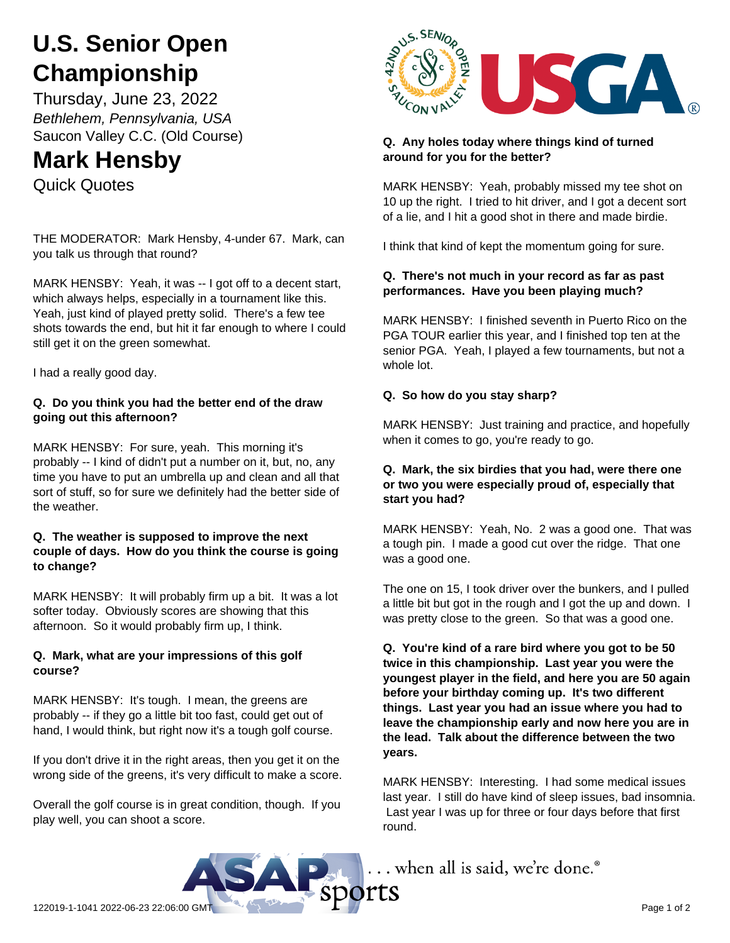# **U.S. Senior Open Championship**

Thursday, June 23, 2022 *Bethlehem, Pennsylvania, USA* Saucon Valley C.C. (Old Course)

# **Mark Hensby**

Quick Quotes

THE MODERATOR: Mark Hensby, 4-under 67. Mark, can you talk us through that round?

MARK HENSBY: Yeah, it was -- I got off to a decent start, which always helps, especially in a tournament like this. Yeah, just kind of played pretty solid. There's a few tee shots towards the end, but hit it far enough to where I could still get it on the green somewhat.

I had a really good day.

#### **Q. Do you think you had the better end of the draw going out this afternoon?**

MARK HENSBY: For sure, yeah. This morning it's probably -- I kind of didn't put a number on it, but, no, any time you have to put an umbrella up and clean and all that sort of stuff, so for sure we definitely had the better side of the weather.

#### **Q. The weather is supposed to improve the next couple of days. How do you think the course is going to change?**

MARK HENSBY: It will probably firm up a bit. It was a lot softer today. Obviously scores are showing that this afternoon. So it would probably firm up, I think.

### **Q. Mark, what are your impressions of this golf course?**

MARK HENSBY: It's tough. I mean, the greens are probably -- if they go a little bit too fast, could get out of hand, I would think, but right now it's a tough golf course.

If you don't drive it in the right areas, then you get it on the wrong side of the greens, it's very difficult to make a score.

Overall the golf course is in great condition, though. If you play well, you can shoot a score.



#### **Q. Any holes today where things kind of turned around for you for the better?**

MARK HENSBY: Yeah, probably missed my tee shot on 10 up the right. I tried to hit driver, and I got a decent sort of a lie, and I hit a good shot in there and made birdie.

I think that kind of kept the momentum going for sure.

## **Q. There's not much in your record as far as past performances. Have you been playing much?**

MARK HENSBY: I finished seventh in Puerto Rico on the PGA TOUR earlier this year, and I finished top ten at the senior PGA. Yeah, I played a few tournaments, but not a whole lot.

### **Q. So how do you stay sharp?**

MARK HENSBY: Just training and practice, and hopefully when it comes to go, you're ready to go.

#### **Q. Mark, the six birdies that you had, were there one or two you were especially proud of, especially that start you had?**

MARK HENSBY: Yeah, No. 2 was a good one. That was a tough pin. I made a good cut over the ridge. That one was a good one.

The one on 15, I took driver over the bunkers, and I pulled a little bit but got in the rough and I got the up and down. I was pretty close to the green. So that was a good one.

**Q. You're kind of a rare bird where you got to be 50 twice in this championship. Last year you were the youngest player in the field, and here you are 50 again before your birthday coming up. It's two different things. Last year you had an issue where you had to leave the championship early and now here you are in the lead. Talk about the difference between the two years.**

MARK HENSBY: Interesting. I had some medical issues last year. I still do have kind of sleep issues, bad insomnia. Last year I was up for three or four days before that first round.

... when all is said, we're done.®